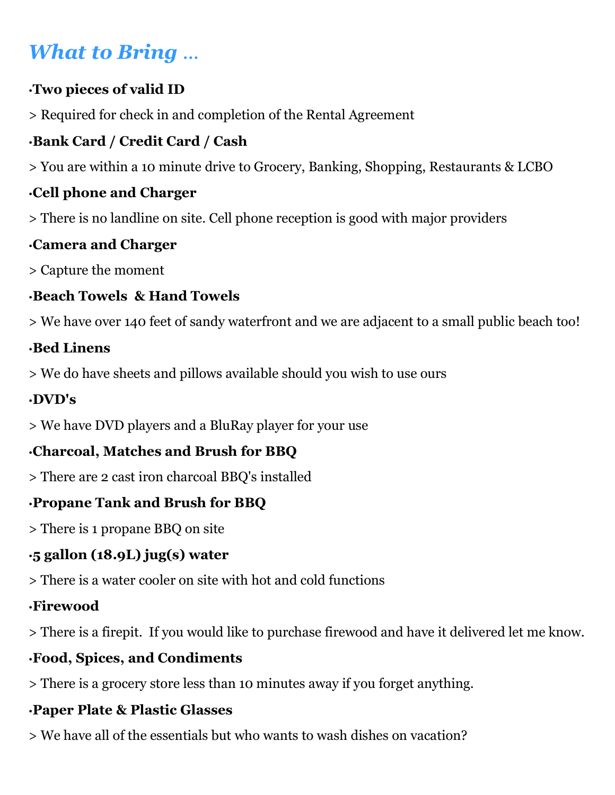# What to Bring ...

### •Two pieces of valid ID

> Required for check in and completion of the Rental Agreement

### •Bank Card / Credit Card / Cash

> You are within a 10 minute drive to Grocery, Banking, Shopping, Restaurants & LCBO

### •Cell phone and Charger

> There is no landline on site. Cell phone reception is good with major providers

## •Camera and Charger

> Capture the moment

### •Beach Towels & Hand Towels

> We have over 140 feet of sandy waterfront and we are adjacent to a small public beach too!

### •Bed Linens

> We do have sheets and pillows available should you wish to use ours

### •DVD's

> We have DVD players and a BluRay player for your use

# •Charcoal, Matches and Brush for BBQ

> There are 2 cast iron charcoal BBQ's installed

### •Propane Tank and Brush for BBQ

> There is 1 propane BBQ on site

### •5 gallon (18.9L) jug(s) water

> There is a water cooler on site with hot and cold functions

### •Firewood

> There is a firepit. If you would like to purchase firewood and have it delivered let me know.

### •Food, Spices, and Condiments

> There is a grocery store less than 10 minutes away if you forget anything.

### •Paper Plate & Plastic Glasses

> We have all of the essentials but who wants to wash dishes on vacation?